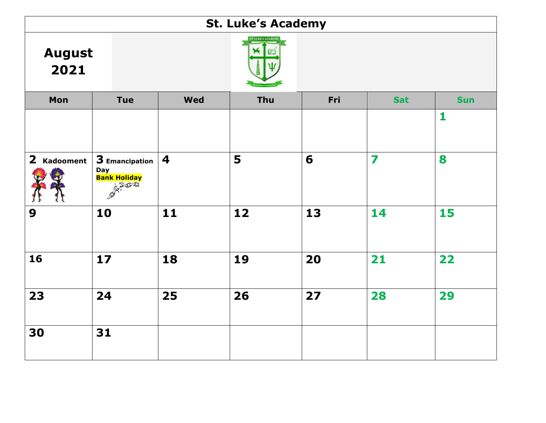| <b>St. Luke's Academy</b> |                                                             |                         |                           |     |            |            |  |  |
|---------------------------|-------------------------------------------------------------|-------------------------|---------------------------|-----|------------|------------|--|--|
| <b>August</b><br>2021     |                                                             |                         | <b>ST. LUKE'S ACADEMY</b> |     |            |            |  |  |
| Mon                       | <b>Tue</b>                                                  | <b>Wed</b>              | Thu                       | Fri | <b>Sat</b> | <b>Sun</b> |  |  |
|                           |                                                             |                         |                           |     |            | 1          |  |  |
| $2$ Kadooment             | 3 Emancipation<br><b>Day</b><br><b>Bank Holiday</b><br>2500 | $\overline{\mathbf{4}}$ | 5                         | 6   | 7          | 8          |  |  |
| 9                         | 10                                                          | $11$                    | 12                        | 13  | 14         | 15         |  |  |
| 16                        | 17                                                          | 18                      | 19                        | 20  | 21         | 22         |  |  |
| 23                        | 24                                                          | 25                      | 26                        | 27  | 28         | 29         |  |  |
| 30                        | 31                                                          |                         |                           |     |            |            |  |  |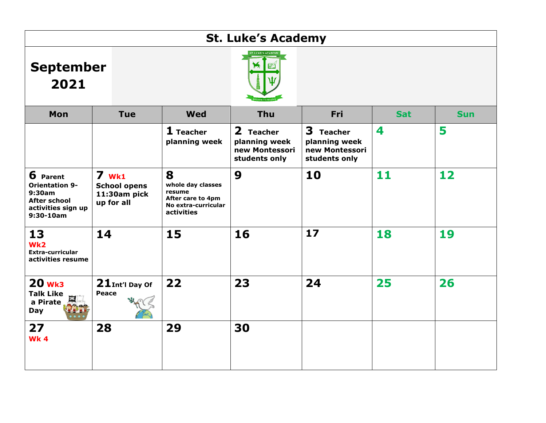|                                                                                                           | <b>St. Luke's Academy</b>                                    |                                                                                            |                                                               |                                                                         |            |            |  |  |  |
|-----------------------------------------------------------------------------------------------------------|--------------------------------------------------------------|--------------------------------------------------------------------------------------------|---------------------------------------------------------------|-------------------------------------------------------------------------|------------|------------|--|--|--|
| <b>September</b><br>2021                                                                                  |                                                              |                                                                                            |                                                               |                                                                         |            |            |  |  |  |
| Mon                                                                                                       | <b>Tue</b>                                                   | Wed                                                                                        | Thu                                                           | Fri                                                                     | <b>Sat</b> | <b>Sun</b> |  |  |  |
|                                                                                                           |                                                              | $1$ Teacher<br>planning week                                                               | 2 Teacher<br>planning week<br>new Montessori<br>students only | 3<br><b>Teacher</b><br>planning week<br>new Montessori<br>students only | 4          | 5          |  |  |  |
| 6 Parent<br><b>Orientation 9-</b><br>9:30am<br><b>After school</b><br>activities sign up<br>$9:30 - 10am$ | $7$ wk1<br><b>School opens</b><br>11:30am pick<br>up for all | 8<br>whole day classes<br>resume<br>After care to 4pm<br>No extra-curricular<br>activities | 9                                                             | 10                                                                      | 11         | 12         |  |  |  |
| 13<br>Wk2<br>Extra-curricular<br>activities resume                                                        | 14                                                           | 15                                                                                         | 16                                                            | 17                                                                      | 18         | 19         |  |  |  |
| <b>20 wk3</b><br><b>Talk Like</b><br>a Pirate<br>Day                                                      | $21$ Int'l Day Of<br>Peace                                   | 22                                                                                         | 23                                                            | 24                                                                      | 25         | 26         |  |  |  |
| 27<br>Wk <sub>4</sub>                                                                                     | 28                                                           | 29                                                                                         | 30                                                            |                                                                         |            |            |  |  |  |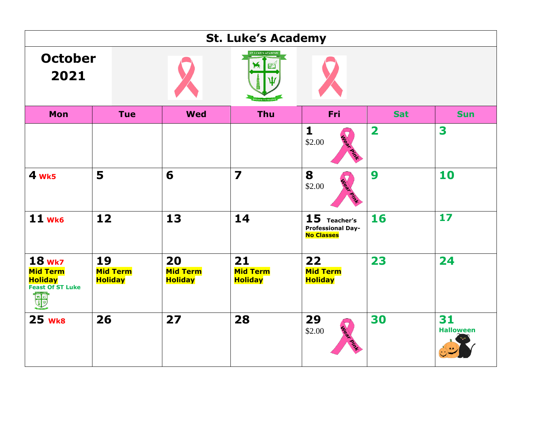|                                                                               |                                         |                                         | <b>St. Luke's Academy</b>               |                                                                  |              |                        |
|-------------------------------------------------------------------------------|-----------------------------------------|-----------------------------------------|-----------------------------------------|------------------------------------------------------------------|--------------|------------------------|
| <b>October</b><br>2021                                                        |                                         |                                         | <b>ST. LUKE'S ACADEMY</b>               |                                                                  |              |                        |
| Mon                                                                           | <b>Tue</b>                              | <b>Wed</b>                              | <b>Thu</b>                              | Fri                                                              | <b>Sat</b>   | <b>Sun</b>             |
|                                                                               |                                         |                                         |                                         | $\mathbf{1}$<br>\$2.00                                           | $\mathbf{2}$ | 3                      |
| 4 wk5                                                                         | 5                                       | 6                                       | $\overline{\mathbf{z}}$                 | 8<br>\$2.00                                                      | 9            | 10                     |
| 11 wk6                                                                        | 12                                      | 13                                      | 14                                      | 15<br>Teacher's<br><b>Professional Day-</b><br><b>No Classes</b> | 16           | 17                     |
| $18$ Wk7<br><b>Mid Term</b><br><b>Holiday</b><br><b>Feast Of ST Luke</b><br>也 | 19<br><b>Mid Term</b><br><b>Holiday</b> | 20<br><b>Mid Term</b><br><b>Holiday</b> | 21<br><b>Mid Term</b><br><b>Holiday</b> | 22<br><b>Mid Term</b><br><b>Holiday</b>                          | 23           | 24                     |
| 25 wk8                                                                        | 26                                      | 27                                      | 28                                      | 29<br>\$2.00                                                     | 30           | 31<br><b>Halloween</b> |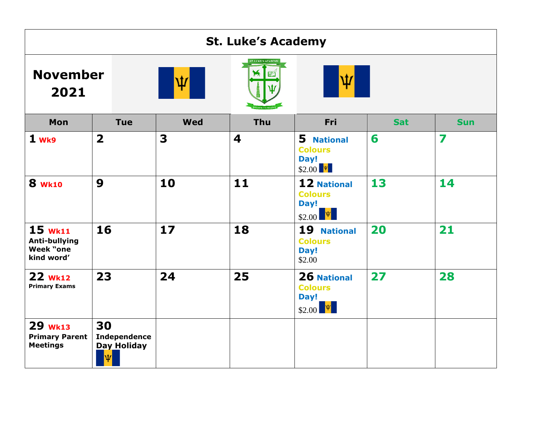| <b>St. Luke's Academy</b>                                    |                                                      |            |                         |                                                                         |            |            |  |  |
|--------------------------------------------------------------|------------------------------------------------------|------------|-------------------------|-------------------------------------------------------------------------|------------|------------|--|--|
| <b>November</b><br>2021                                      |                                                      | Ψ          |                         | Ψ                                                                       |            |            |  |  |
| Mon                                                          | <b>Tue</b>                                           | <b>Wed</b> | Thu                     | Fri                                                                     | <b>Sat</b> | <b>Sun</b> |  |  |
| 1 wk9                                                        | $\overline{\mathbf{2}}$                              | 3          | $\overline{\mathbf{4}}$ | 5 National<br><b>Colours</b><br>Day!<br>$$2.00$ $\sqrt{\frac{\Psi}{}}$  | 6          | 7          |  |  |
| <b>8 WK10</b>                                                | 9                                                    | 10         | 11                      | 12 National<br><b>Colours</b><br>Day!<br>$ \Psi $<br>\$2.00             | 13         | 14         |  |  |
| $15$ wk11<br><b>Anti-bullying</b><br>Week "one<br>kind word' | 16                                                   | $17$       | 18                      | 19<br><b>National</b><br><b>Colours</b><br>Day!<br>\$2.00               | 20         | 21         |  |  |
| 22 wk12<br><b>Primary Exams</b>                              | 23                                                   | 24         | 25                      | 26 National<br><b>Colours</b><br>Day!<br>$$2.00$ $\sqrt{\frac{\Psi}{}}$ | 27         | 28         |  |  |
| 29 <b>Wk13</b><br><b>Primary Parent</b><br><b>Meetings</b>   | 30<br><b>Independence</b><br><b>Day Holiday</b><br>Ψ |            |                         |                                                                         |            |            |  |  |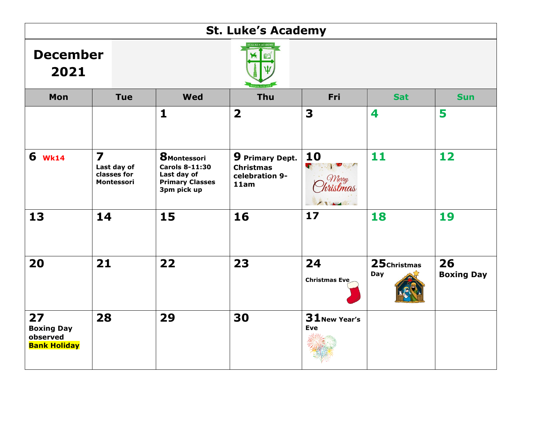| <b>St. Luke's Academy</b>                                  |                                                                     |                                                                                                      |                                                                      |                                                                  |                     |                         |  |  |
|------------------------------------------------------------|---------------------------------------------------------------------|------------------------------------------------------------------------------------------------------|----------------------------------------------------------------------|------------------------------------------------------------------|---------------------|-------------------------|--|--|
| <b>December</b><br>2021                                    |                                                                     |                                                                                                      |                                                                      |                                                                  |                     |                         |  |  |
| Mon                                                        | <b>Tue</b>                                                          | <b>Wed</b>                                                                                           | <b>Thu</b>                                                           | Fri                                                              | <b>Sat</b>          | <b>Sun</b>              |  |  |
|                                                            |                                                                     | $\mathbf{1}$                                                                                         | $\overline{\mathbf{2}}$                                              | 3                                                                | 4                   | 5                       |  |  |
| 6 w <sub>k14</sub>                                         | $\overline{\mathbf{z}}$<br>Last day of<br>classes for<br>Montessori | <b>8</b> Montessori<br><b>Carols 8-11:30</b><br>Last day of<br><b>Primary Classes</b><br>3pm pick up | <b>9 Primary Dept.</b><br><b>Christmas</b><br>celebration 9-<br>11am | 10<br>$\mathbf{C}$<br>PASSED OF LAST<br>Merry<br><b>tristmas</b> | 11                  | 12                      |  |  |
| 13                                                         | 14                                                                  | 15                                                                                                   | 16                                                                   | 17                                                               | 18                  | 19                      |  |  |
| 20                                                         | 21                                                                  | 22                                                                                                   | 23                                                                   | 24<br>Christmas Eve                                              | 25 Christmas<br>Day | 26<br><b>Boxing Day</b> |  |  |
| 27<br><b>Boxing Day</b><br>observed<br><b>Bank Holiday</b> | 28                                                                  | 29                                                                                                   | 30                                                                   | 31 New Year's<br><b>Eve</b>                                      |                     |                         |  |  |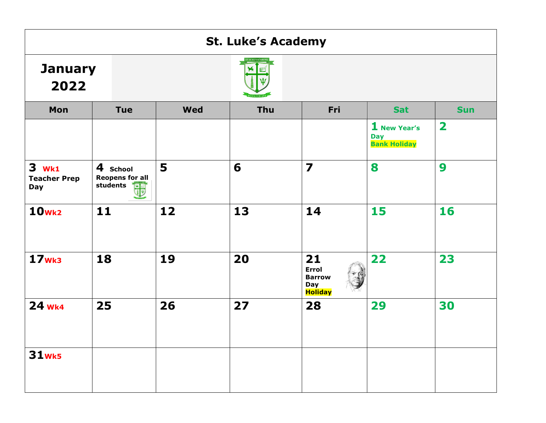|                                                   | <b>St. Luke's Academy</b>                           |            |     |                                                                     |                                                   |                         |  |  |  |
|---------------------------------------------------|-----------------------------------------------------|------------|-----|---------------------------------------------------------------------|---------------------------------------------------|-------------------------|--|--|--|
| <b>January</b><br>2022                            |                                                     |            |     |                                                                     |                                                   |                         |  |  |  |
| Mon                                               | <b>Tue</b>                                          | <b>Wed</b> | Thu | Fri                                                                 | <b>Sat</b>                                        | <b>Sun</b>              |  |  |  |
|                                                   |                                                     |            |     |                                                                     | 1 New Year's<br><b>Day</b><br><b>Bank Holiday</b> | $\overline{\mathbf{2}}$ |  |  |  |
| <b>3</b> wk1<br><b>Teacher Prep</b><br><b>Day</b> | 4 School<br><b>Reopens for all</b><br>students<br>围 | 5          | 6   | $\overline{\mathbf{z}}$                                             | 8                                                 | 9                       |  |  |  |
| 10 <sub>Wk2</sub>                                 | 11                                                  | 12         | 13  | 14                                                                  | 15                                                | 16                      |  |  |  |
| 17 <sub>Wk3</sub>                                 | 18                                                  | 19         | 20  | 21<br><b>Errol</b><br><b>Barrow</b><br><b>Day</b><br><b>Holiday</b> | 22                                                | 23                      |  |  |  |
| 24 wk4                                            | 25                                                  | 26         | 27  | 28                                                                  | 29                                                | 30                      |  |  |  |
| <b>31wk5</b>                                      |                                                     |            |     |                                                                     |                                                   |                         |  |  |  |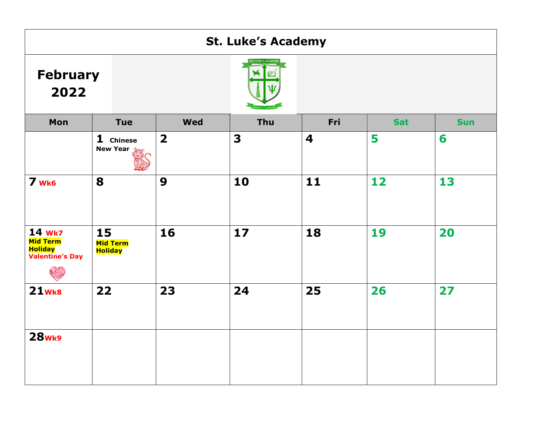| <b>St. Luke's Academy</b>                                             |                                         |                         |                         |     |            |            |  |  |
|-----------------------------------------------------------------------|-----------------------------------------|-------------------------|-------------------------|-----|------------|------------|--|--|
| <b>February</b><br>2022                                               |                                         |                         | <b>T. LUKE'S ACADEM</b> |     |            |            |  |  |
| Mon                                                                   | <b>Tue</b>                              | <b>Wed</b>              | Thu                     | Fri | <b>Sat</b> | <b>Sun</b> |  |  |
|                                                                       | 1 Chinese<br><b>New Year</b>            | $\overline{\mathbf{2}}$ | $\overline{\mathbf{3}}$ | 4   | 5          | 6          |  |  |
| 7 wk6                                                                 | 8                                       | 9                       | 10                      | 11  | 12         | 13         |  |  |
| 14 wk7<br><b>Mid Term</b><br><b>Holiday</b><br><b>Valentine's Day</b> | 15<br><b>Mid Term</b><br><b>Holiday</b> | 16                      | 17                      | 18  | 19         | 20         |  |  |
| <b>21wk8</b>                                                          | 22                                      | 23                      | 24                      | 25  | 26         | 27         |  |  |
| <b>28wk9</b>                                                          |                                         |                         |                         |     |            |            |  |  |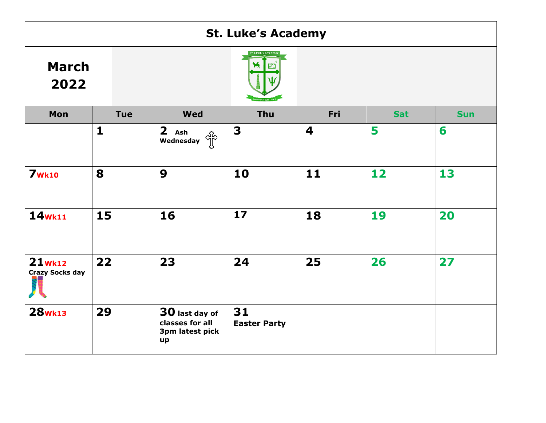| <b>St. Luke's Academy</b>           |              |                                                            |                           |      |            |            |  |  |
|-------------------------------------|--------------|------------------------------------------------------------|---------------------------|------|------------|------------|--|--|
| <b>March</b><br>2022                |              |                                                            |                           |      |            |            |  |  |
| Mon                                 | <b>Tue</b>   | <b>Wed</b>                                                 | Thu                       | Fri  | <b>Sat</b> | <b>Sun</b> |  |  |
|                                     | $\mathbf{1}$ | 2 Ash<br>ကြီး<br>Wednesday                                 | 3                         | 4    | 5          | 6          |  |  |
| <b>7wk10</b>                        | 8            | 9                                                          | 10                        | $11$ | 12         | 13         |  |  |
| $14$ <sub>Wk11</sub>                | 15           | 16                                                         | 17                        | 18   | 19         | 20         |  |  |
| $21$ Wk12<br><b>Crazy Socks day</b> | 22           | 23                                                         | 24                        | 25   | 26         | 27         |  |  |
| <b>28wk13</b>                       | 29           | 30 last day of<br>classes for all<br>3pm latest pick<br>up | 31<br><b>Easter Party</b> |      |            |            |  |  |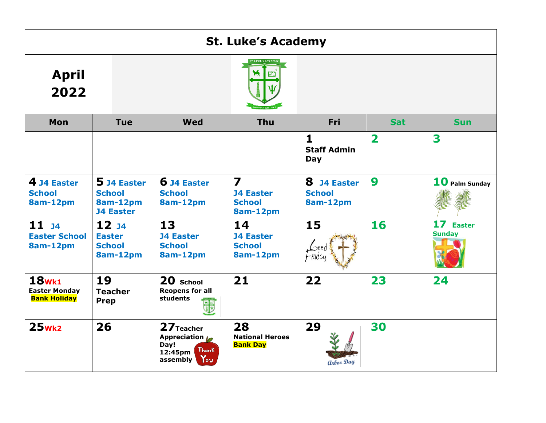|                                                             | <b>St. Luke's Academy</b>                                           |                                                                                     |                                                                          |                                                    |                         |                                      |  |  |  |
|-------------------------------------------------------------|---------------------------------------------------------------------|-------------------------------------------------------------------------------------|--------------------------------------------------------------------------|----------------------------------------------------|-------------------------|--------------------------------------|--|--|--|
| <b>April</b><br>2022                                        |                                                                     |                                                                                     |                                                                          |                                                    |                         |                                      |  |  |  |
| Mon                                                         | <b>Tue</b>                                                          | <b>Wed</b>                                                                          | <b>Thu</b>                                                               | Fri                                                | <b>Sat</b>              | <b>Sun</b>                           |  |  |  |
|                                                             |                                                                     |                                                                                     |                                                                          | $\mathbf{1}$<br><b>Staff Admin</b><br>Day          | $\overline{\mathbf{2}}$ | 3                                    |  |  |  |
| 4 J4 Easter<br><b>School</b><br>8am-12pm                    | 5 J4 Easter<br><b>School</b><br><b>8am-12pm</b><br><b>J4 Easter</b> | 6 J4 Easter<br><b>School</b><br>8am-12pm                                            | $\overline{\mathbf{z}}$<br><b>J4 Easter</b><br><b>School</b><br>8am-12pm | 8<br><b>J4 Easter</b><br><b>School</b><br>8am-12pm | 9                       | $10$ Palm Sunday                     |  |  |  |
| $11_{J4}$<br><b>Easter School</b><br>8am-12pm               | 12 <sub>14</sub><br><b>Easter</b><br><b>School</b><br>8am-12pm      | 13<br><b>J4 Easter</b><br><b>School</b><br>8am-12pm                                 | 14<br><b>J4 Easter</b><br><b>School</b><br>8am-12pm                      | 15                                                 | 16                      | 17<br><b>Easter</b><br><b>Sunday</b> |  |  |  |
| <b>18wk1</b><br><b>Easter Monday</b><br><b>Bank Holiday</b> | 19<br><b>Teacher</b><br>Prep                                        | 20 School<br><b>Reopens for all</b><br>students                                     | 21                                                                       | 22                                                 | 23                      | 24                                   |  |  |  |
| $25$ <sub>Wk2</sub>                                         | 26                                                                  | 27 Teacher<br>Appreciation 10<br>Day!<br><b>Thank</b><br>12:45pm<br>You<br>assembly | 28<br><b>National Heroes</b><br><b>Bank Day</b>                          | 29<br><b>arbor</b> Day                             | 30                      |                                      |  |  |  |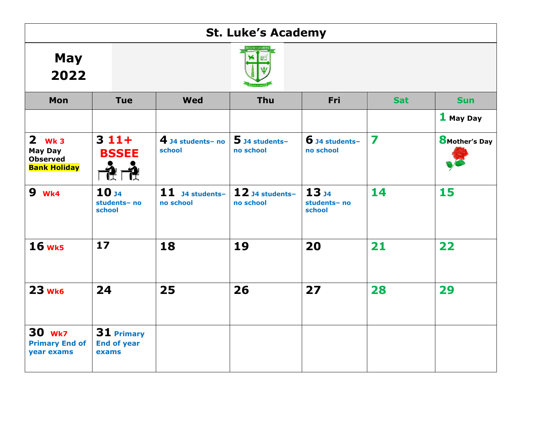|                                                                      |                                            |                                | <b>St. Luke's Academy</b>      |                                            |            |                       |  |  |  |
|----------------------------------------------------------------------|--------------------------------------------|--------------------------------|--------------------------------|--------------------------------------------|------------|-----------------------|--|--|--|
| <b>May</b><br>2022                                                   |                                            |                                |                                |                                            |            |                       |  |  |  |
| Mon                                                                  | <b>Tue</b>                                 | <b>Wed</b>                     | Thu                            | Fri                                        | <b>Sat</b> | <b>Sun</b>            |  |  |  |
|                                                                      |                                            |                                |                                |                                            |            | 1 May Day             |  |  |  |
| $2$ Wk 3<br><b>May Day</b><br><b>Observed</b><br><b>Bank Holiday</b> | $311+$<br><b>BSSEE</b>                     | $4$ J4 students- no<br>school  | $5$ J4 students-<br>no school  | $6$ J4 students-<br>no school              | 7          | <b>8</b> Mother's Day |  |  |  |
| <b>9</b> wk4                                                         | 10 <sub>34</sub><br>students- no<br>school | $11$ J4 students-<br>no school | $12$ J4 students-<br>no school | 13 <sub>34</sub><br>students- no<br>school | 14         | 15                    |  |  |  |
| <b>16 wk5</b>                                                        | $17$                                       | 18                             | 19                             | 20                                         | 21         | 22                    |  |  |  |
| 23 wk6                                                               | 24                                         | 25                             | 26                             | 27                                         | 28         | 29                    |  |  |  |
| <b>30 Wk7</b><br><b>Primary End of</b><br>year exams                 | 31 Primary<br><b>End of year</b><br>exams  |                                |                                |                                            |            |                       |  |  |  |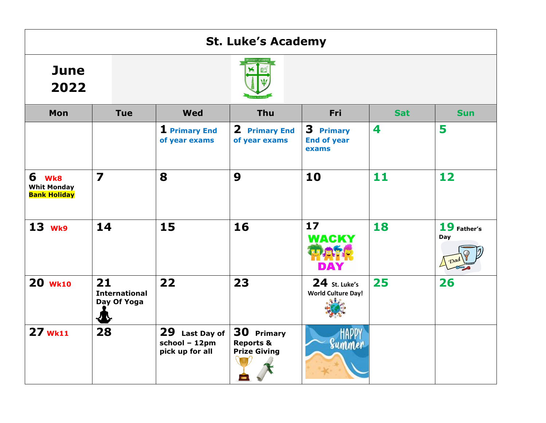| <b>St. Luke's Academy</b>                          |                                                |                                                       |                                                           |                                            |            |                    |  |  |
|----------------------------------------------------|------------------------------------------------|-------------------------------------------------------|-----------------------------------------------------------|--------------------------------------------|------------|--------------------|--|--|
| <b>June</b><br>2022                                |                                                |                                                       |                                                           |                                            |            |                    |  |  |
| <b>Mon</b>                                         | <b>Tue</b>                                     | <b>Wed</b>                                            | <b>Thu</b>                                                | <b>Fri</b>                                 | <b>Sat</b> | <b>Sun</b>         |  |  |
|                                                    |                                                | 1 Primary End<br>of year exams                        | 2 Primary End<br>of year exams                            | 3 Primary<br><b>End of year</b><br>exams   | 4          | 5                  |  |  |
| 6 Wk8<br><b>Whit Monday</b><br><b>Bank Holiday</b> | $\overline{\mathbf{z}}$                        | 8                                                     | 9                                                         | 10                                         | 11         | 12                 |  |  |
| $13$ Wk9                                           | 14                                             | 15                                                    | 16                                                        | 17<br><b>WACKY</b><br>DAY                  | 18         | 19 Father's<br>Day |  |  |
| <b>20 Wk10</b>                                     | 21<br><b>International</b><br>Day Of Yoga<br>₩ | 22                                                    | 23                                                        | 24 St. Luke's<br><b>World Culture Day!</b> | 25         | 26                 |  |  |
| 27 wk11                                            | 28                                             | 29<br>Last Day of<br>school - 12pm<br>pick up for all | 30 Primary<br><b>Reports &amp;</b><br><b>Prize Giving</b> | Summer                                     |            |                    |  |  |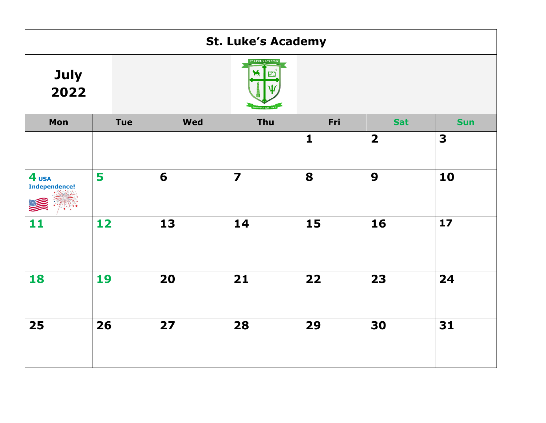|                                          | <b>St. Luke's Academy</b> |            |                           |              |                         |            |  |  |  |
|------------------------------------------|---------------------------|------------|---------------------------|--------------|-------------------------|------------|--|--|--|
| July<br>2022                             |                           |            | <b>ST. LUKE'S ACADEMY</b> |              |                         |            |  |  |  |
| Mon                                      | <b>Tue</b>                | <b>Wed</b> | Thu                       | Fri          | <b>Sat</b>              | <b>Sun</b> |  |  |  |
|                                          |                           |            |                           | $\mathbf{1}$ | $\overline{\mathbf{2}}$ | 3          |  |  |  |
| 4 <sub>USA</sub><br><b>Independence!</b> | 5                         | 6          | $\overline{\mathbf{z}}$   | 8            | $\boldsymbol{9}$        | 10         |  |  |  |
| 11                                       | 12                        | 13         | 14                        | 15           | 16                      | $17$       |  |  |  |
| 18                                       | 19                        | 20         | 21                        | 22           | 23                      | 24         |  |  |  |
| 25                                       | 26                        | 27         | 28                        | 29           | 30                      | 31         |  |  |  |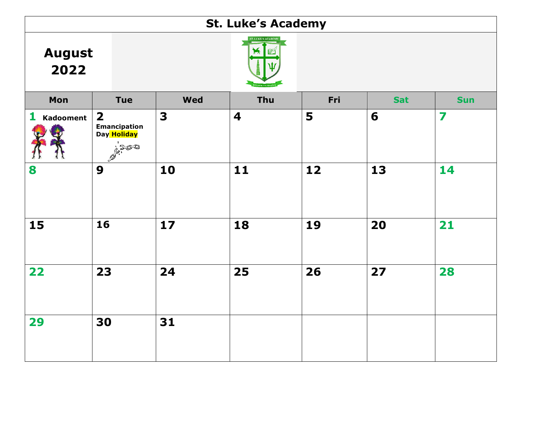| <b>St. Luke's Academy</b> |                                                                      |            |                         |     |            |            |  |  |  |
|---------------------------|----------------------------------------------------------------------|------------|-------------------------|-----|------------|------------|--|--|--|
| <b>August</b><br>2022     |                                                                      | X          |                         |     |            |            |  |  |  |
| Mon                       | <b>Tue</b>                                                           | <b>Wed</b> | Thu                     | Fri | <b>Sat</b> | <b>Sun</b> |  |  |  |
| 1<br><b>Kadooment</b>     | $\overline{\mathbf{2}}$<br><b>Emancipation</b><br>Day Holiday<br>500 | 3          | $\overline{\mathbf{4}}$ | 5   | 6          | 7          |  |  |  |
| 8                         | 9                                                                    | 10         | $\mathbf{11}$           | 12  | 13         | 14         |  |  |  |
| 15                        | 16                                                                   | 17         | 18                      | 19  | 20         | 21         |  |  |  |
| 22                        | 23                                                                   | 24         | 25                      | 26  | 27         | 28         |  |  |  |
| 29                        | 30                                                                   | 31         |                         |     |            |            |  |  |  |